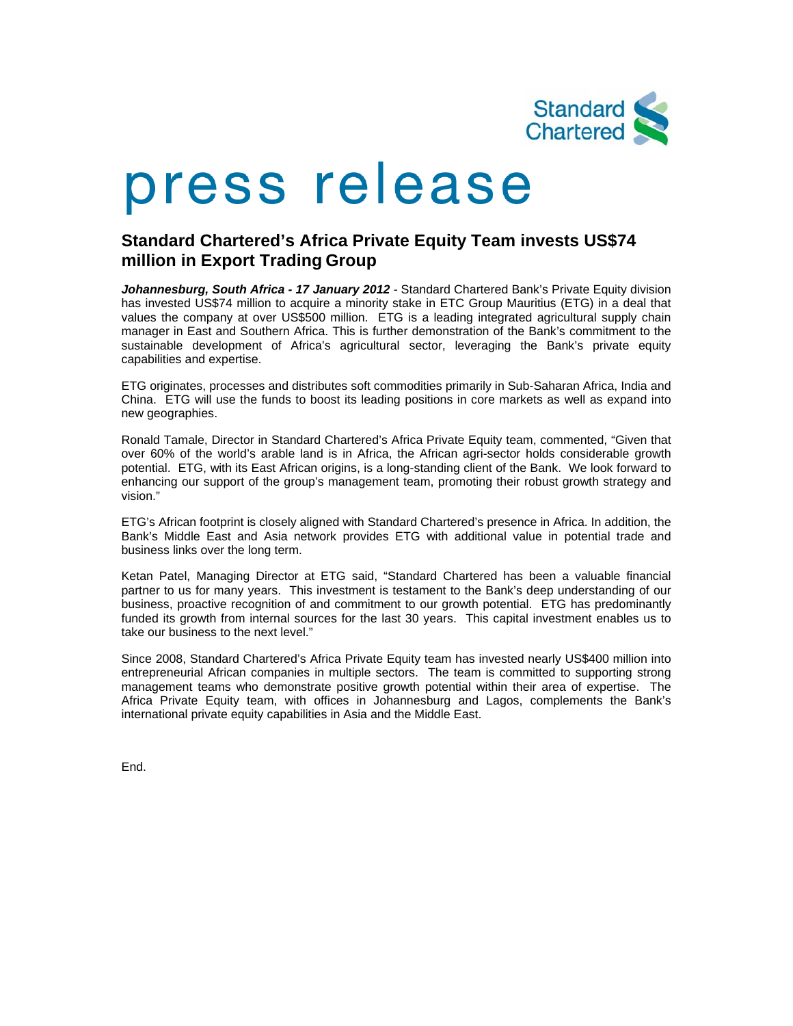

## press release

## **Standard Chartered's Africa Private Equity Team invests US\$74 million in Export Trading Group**

Johannesburg, South Africa - 17 January 2012 - Standard Chartered Bank's Private Equity division has invested US\$74 million to acquire a minority stake in ETC Group Mauritius (ETG) in a deal that values the company at over US\$500 million. ETG is a leading integrated agricultural supply chain manager in East and Southern Africa. This is further demonstration of the Bank's commitment to the sustainable development of Africa's agricultural sector, leveraging the Bank's private equity capabilities and expertise.

ETG originates, processes and distributes soft commodities primarily in Sub-Saharan Africa, India and China. ETG will use the funds to boost its leading positions in core markets as well as expand into new geographies.

Ronald Tamale, Director in Standard Chartered's Africa Private Equity team, commented, "Given that over 60% of the world's arable land is in Africa, the African agri-sector holds considerable growth potential. ETG, with its East African origins, is a long-standing client of the Bank. We look forward to enhancing our support of the group's management team, promoting their robust growth strategy and vision."

ETG's African footprint is closely aligned with Standard Chartered's presence in Africa. In addition, the Bank's Middle East and Asia network provides ETG with additional value in potential trade and business links over the long term.

Ketan Patel, Managing Director at ETG said, "Standard Chartered has been a valuable financial partner to us for many years. This investment is testament to the Bank's deep understanding of our business, proactive recognition of and commitment to our growth potential. ETG has predominantly funded its growth from internal sources for the last 30 years. This capital investment enables us to take our business to the next level."

Since 2008, Standard Chartered's Africa Private Equity team has invested nearly US\$400 million into entrepreneurial African companies in multiple sectors. The team is committed to supporting strong management teams who demonstrate positive growth potential within their area of expertise. The Africa Private Equity team, with offices in Johannesburg and Lagos, complements the Bank's international private equity capabilities in Asia and the Middle East.

End.